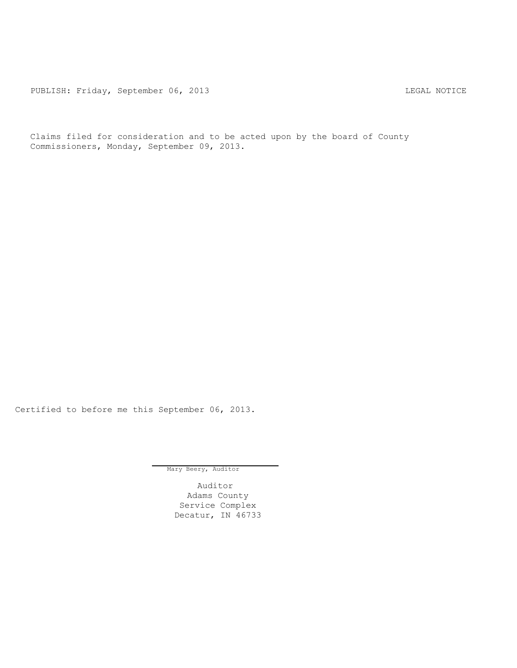PUBLISH: Friday, September 06, 2013 LEGAL NOTICE

Claims filed for consideration and to be acted upon by the board of County Commissioners, Monday, September 09, 2013.

Certified to before me this September 06, 2013.

Mary Beery, Auditor

Auditor Adams County Service Complex Decatur, IN 46733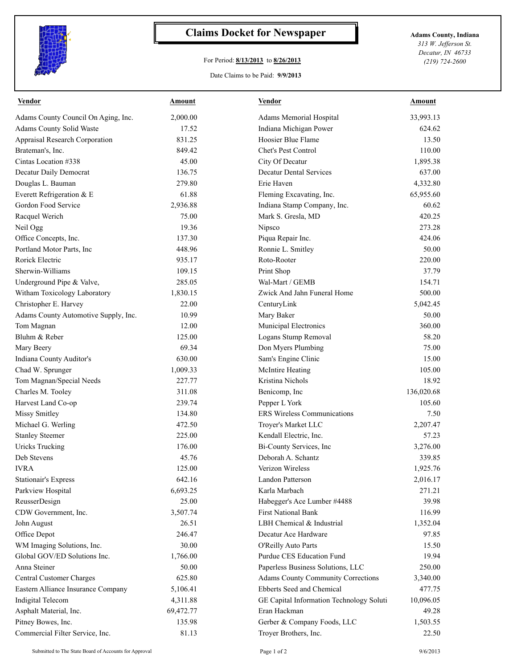

## **Claims Docket for Newspaper Adams County, Indiana**

## For Period: **8/13/2013** to **8/26/2013**

*313 W. Jefferson St. Decatur, IN 46733 (219) 724-2600*

## Date Claims to be Paid: **9/9/2013**

| <b>Vendor</b>                        | <b>Amount</b> | <b>Vendor</b>                                    | <b>Amount</b> |
|--------------------------------------|---------------|--------------------------------------------------|---------------|
| Adams County Council On Aging, Inc.  | 2,000.00      | Adams Memorial Hospital                          | 33,993.13     |
| Adams County Solid Waste             | 17.52         | Indiana Michigan Power                           | 624.62        |
| Appraisal Research Corporation       | 831.25        | Hoosier Blue Flame                               | 13.50         |
| Brateman's, Inc.                     | 849.42        | Chet's Pest Control                              | 110.00        |
| Cintas Location #338                 | 45.00         | City Of Decatur                                  | 1,895.38      |
| Decatur Daily Democrat               | 136.75        | <b>Decatur Dental Services</b>                   | 637.00        |
| Douglas L. Bauman                    | 279.80        | Erie Haven                                       | 4,332.80      |
| Everett Refrigeration & E            | 61.88         | Fleming Excavating, Inc.                         | 65,955.60     |
| Gordon Food Service                  | 2,936.88      | Indiana Stamp Company, Inc.                      | 60.62         |
| Racquel Werich                       | 75.00         | Mark S. Gresla, MD                               | 420.25        |
| Neil Ogg                             | 19.36         | Nipsco                                           | 273.28        |
| Office Concepts, Inc.                | 137.30        | Piqua Repair Inc.                                | 424.06        |
| Portland Motor Parts, Inc            | 448.96        | Ronnie L. Smitley                                | 50.00         |
| Rorick Electric                      | 935.17        | Roto-Rooter                                      | 220.00        |
| Sherwin-Williams                     | 109.15        | Print Shop                                       | 37.79         |
| Underground Pipe & Valve,            | 285.05        | Wal-Mart / GEMB                                  | 154.71        |
| Witham Toxicology Laboratory         | 1,830.15      | Zwick And Jahn Funeral Home                      | 500.00        |
| Christopher E. Harvey                | 22.00         | CenturyLink                                      | 5,042.45      |
| Adams County Automotive Supply, Inc. | 10.99         | Mary Baker                                       | 50.00         |
| Tom Magnan                           | 12.00         | Municipal Electronics                            | 360.00        |
| Bluhm & Reber                        | 125.00        | Logans Stump Removal                             | 58.20         |
| Mary Beery                           | 69.34         | Don Myers Plumbing                               | 75.00         |
| Indiana County Auditor's             | 630.00        | Sam's Engine Clinic                              | 15.00         |
| Chad W. Sprunger                     | 1,009.33      | McIntire Heating                                 | 105.00        |
| Tom Magnan/Special Needs             | 227.77        | Kristina Nichols                                 | 18.92         |
| Charles M. Tooley                    | 311.08        | Benicomp, Inc                                    | 136,020.68    |
| Harvest Land Co-op                   | 239.74        | Pepper L York                                    | 105.60        |
| Missy Smitley                        | 134.80        | <b>ERS Wireless Communications</b>               | 7.50          |
| Michael G. Werling                   | 472.50        | Troyer's Market LLC                              | 2,207.47      |
| <b>Stanley Steemer</b>               | 225.00        | Kendall Electric, Inc.                           | 57.23         |
| <b>Uricks Trucking</b>               | 176.00        | Bi-County Services, Inc                          | 3,276.00      |
| Deb Stevens                          | 45.76         | Deborah A. Schantz                               | 339.85        |
| <b>IVRA</b>                          | 125.00        | Verizon Wireless                                 | 1,925.76      |
| <b>Stationair's Express</b>          | 642.16        | Landon Patterson                                 | 2,016.17      |
| Parkview Hospital                    | 6,693.25      | Karla Marbach                                    | 271.21        |
| ReusserDesign                        | 25.00         | Habegger's Ace Lumber #4488                      | 39.98         |
| CDW Government, Inc.                 | 3,507.74      | <b>First National Bank</b>                       | 116.99        |
| John August                          | 26.51         | LBH Chemical & Industrial                        | 1,352.04      |
|                                      | 246.47        | Decatur Ace Hardware                             | 97.85         |
| Office Depot                         | 30.00         |                                                  |               |
| WM Imaging Solutions, Inc.           |               | O'Reilly Auto Parts<br>Purdue CES Education Fund | 15.50         |
| Global GOV/ED Solutions Inc.         | 1,766.00      |                                                  | 19.94         |
| Anna Steiner                         | 50.00         | Paperless Business Solutions, LLC                | 250.00        |
| Central Customer Charges             | 625.80        | <b>Adams County Community Corrections</b>        | 3,340.00      |
| Eastern Alliance Insurance Company   | 5,106.41      | Ebberts Seed and Chemical                        | 477.75        |
| Indigital Telecom                    | 4,311.88      | GE Capital Information Technology Soluti         | 10,096.05     |
| Asphalt Material, Inc.               | 69,472.77     | Eran Hackman                                     | 49.28         |
| Pitney Bowes, Inc.                   | 135.98        | Gerber & Company Foods, LLC                      | 1,503.55      |
| Commercial Filter Service, Inc.      | 81.13         | Troyer Brothers, Inc.                            | 22.50         |